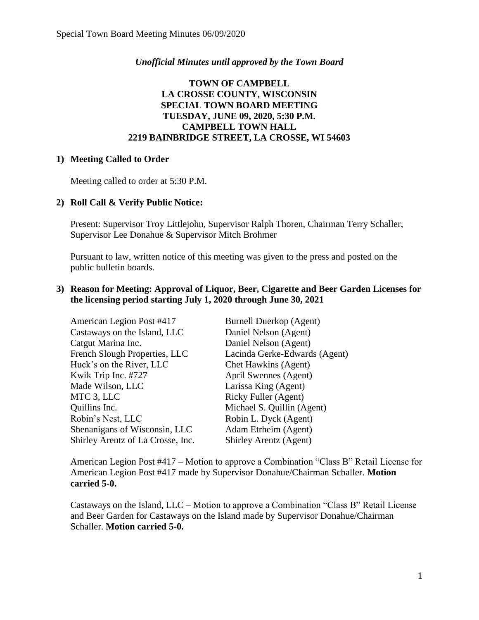### *Unofficial Minutes until approved by the Town Board*

# **TOWN OF CAMPBELL LA CROSSE COUNTY, WISCONSIN SPECIAL TOWN BOARD MEETING TUESDAY, JUNE 09, 2020, 5:30 P.M. CAMPBELL TOWN HALL 2219 BAINBRIDGE STREET, LA CROSSE, WI 54603**

#### **1) Meeting Called to Order**

Meeting called to order at 5:30 P.M.

# **2) Roll Call & Verify Public Notice:**

Present: Supervisor Troy Littlejohn, Supervisor Ralph Thoren, Chairman Terry Schaller, Supervisor Lee Donahue & Supervisor Mitch Brohmer

Pursuant to law, written notice of this meeting was given to the press and posted on the public bulletin boards.

## **3) Reason for Meeting: Approval of Liquor, Beer, Cigarette and Beer Garden Licenses for the licensing period starting July 1, 2020 through June 30, 2021**

| American Legion Post #417         | <b>Burnell Duerkop (Agent)</b> |
|-----------------------------------|--------------------------------|
| Castaways on the Island, LLC      | Daniel Nelson (Agent)          |
| Catgut Marina Inc.                | Daniel Nelson (Agent)          |
| French Slough Properties, LLC     | Lacinda Gerke-Edwards (Agent)  |
| Huck's on the River, LLC          | Chet Hawkins (Agent)           |
| Kwik Trip Inc. #727               | April Swennes (Agent)          |
| Made Wilson, LLC                  | Larissa King (Agent)           |
| MTC 3, LLC                        | Ricky Fuller (Agent)           |
| Quillins Inc.                     | Michael S. Quillin (Agent)     |
| Robin's Nest, LLC                 | Robin L. Dyck (Agent)          |
| Shenanigans of Wisconsin, LLC     | Adam Etrheim (Agent)           |
| Shirley Arentz of La Crosse, Inc. | Shirley Arentz (Agent)         |

American Legion Post #417 – Motion to approve a Combination "Class B" Retail License for American Legion Post #417 made by Supervisor Donahue/Chairman Schaller. **Motion carried 5-0.**

Castaways on the Island, LLC – Motion to approve a Combination "Class B" Retail License and Beer Garden for Castaways on the Island made by Supervisor Donahue/Chairman Schaller. **Motion carried 5-0.**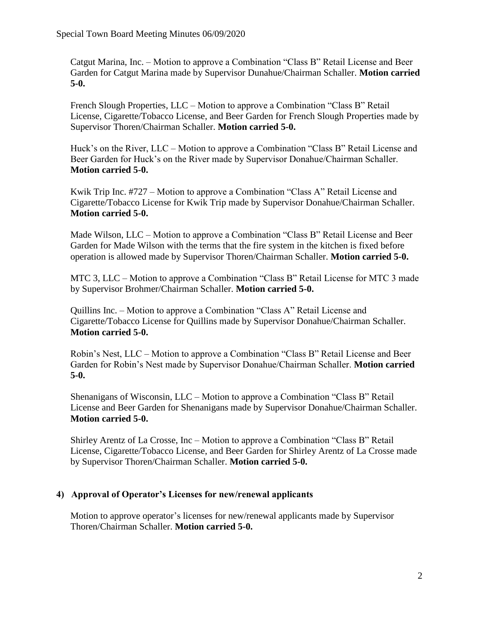Catgut Marina, Inc. – Motion to approve a Combination "Class B" Retail License and Beer Garden for Catgut Marina made by Supervisor Dunahue/Chairman Schaller. **Motion carried 5-0.**

French Slough Properties, LLC – Motion to approve a Combination "Class B" Retail License, Cigarette/Tobacco License, and Beer Garden for French Slough Properties made by Supervisor Thoren/Chairman Schaller. **Motion carried 5-0.**

Huck's on the River, LLC – Motion to approve a Combination "Class B" Retail License and Beer Garden for Huck's on the River made by Supervisor Donahue/Chairman Schaller. **Motion carried 5-0.**

Kwik Trip Inc. #727 – Motion to approve a Combination "Class A" Retail License and Cigarette/Tobacco License for Kwik Trip made by Supervisor Donahue/Chairman Schaller. **Motion carried 5-0.**

Made Wilson, LLC – Motion to approve a Combination "Class B" Retail License and Beer Garden for Made Wilson with the terms that the fire system in the kitchen is fixed before operation is allowed made by Supervisor Thoren/Chairman Schaller. **Motion carried 5-0.**

MTC 3, LLC – Motion to approve a Combination "Class B" Retail License for MTC 3 made by Supervisor Brohmer/Chairman Schaller. **Motion carried 5-0.**

Quillins Inc. – Motion to approve a Combination "Class A" Retail License and Cigarette/Tobacco License for Quillins made by Supervisor Donahue/Chairman Schaller. **Motion carried 5-0.**

Robin's Nest, LLC – Motion to approve a Combination "Class B" Retail License and Beer Garden for Robin's Nest made by Supervisor Donahue/Chairman Schaller. **Motion carried 5-0.**

Shenanigans of Wisconsin, LLC – Motion to approve a Combination "Class B" Retail License and Beer Garden for Shenanigans made by Supervisor Donahue/Chairman Schaller. **Motion carried 5-0.**

Shirley Arentz of La Crosse, Inc – Motion to approve a Combination "Class B" Retail License, Cigarette/Tobacco License, and Beer Garden for Shirley Arentz of La Crosse made by Supervisor Thoren/Chairman Schaller. **Motion carried 5-0.**

# **4) Approval of Operator's Licenses for new/renewal applicants**

Motion to approve operator's licenses for new/renewal applicants made by Supervisor Thoren/Chairman Schaller. **Motion carried 5-0.**